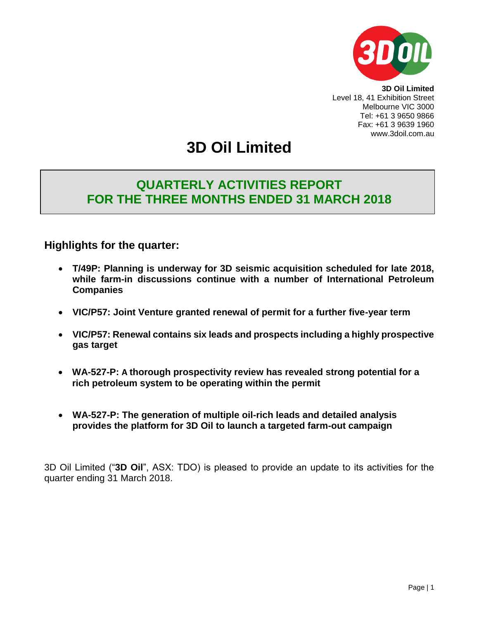

**3D Oil Limited** Level 18, 41 Exhibition Street Melbourne VIC 3000 Tel: +61 3 9650 9866 Fax: +61 3 9639 1960 www.3doil.com.au

# **3D Oil Limited**

## **QUARTERLY ACTIVITIES REPORT FOR THE THREE MONTHS ENDED 31 MARCH 2018**

## **Highlights for the quarter:**

- **T/49P: Planning is underway for 3D seismic acquisition scheduled for late 2018, while farm-in discussions continue with a number of International Petroleum Companies**
- **VIC/P57: Joint Venture granted renewal of permit for a further five-year term**
- **VIC/P57: Renewal contains six leads and prospects including a highly prospective gas target**
- **WA-527-P: A thorough prospectivity review has revealed strong potential for a rich petroleum system to be operating within the permit**
- **WA-527-P: The generation of multiple oil-rich leads and detailed analysis provides the platform for 3D Oil to launch a targeted farm-out campaign**

3D Oil Limited ("**3D Oil**", ASX: TDO) is pleased to provide an update to its activities for the quarter ending 31 March 2018.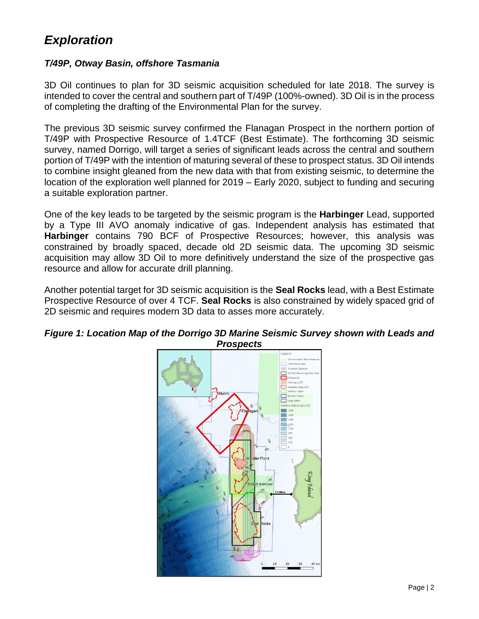## *Exploration*

## *T/49P, Otway Basin, offshore Tasmania*

3D Oil continues to plan for 3D seismic acquisition scheduled for late 2018. The survey is intended to cover the central and southern part of T/49P (100%-owned). 3D Oil is in the process of completing the drafting of the Environmental Plan for the survey.

The previous 3D seismic survey confirmed the Flanagan Prospect in the northern portion of T/49P with Prospective Resource of 1.4TCF (Best Estimate). The forthcoming 3D seismic survey, named Dorrigo, will target a series of significant leads across the central and southern portion of T/49P with the intention of maturing several of these to prospect status. 3D Oil intends to combine insight gleaned from the new data with that from existing seismic, to determine the location of the exploration well planned for 2019 – Early 2020, subject to funding and securing a suitable exploration partner.

One of the key leads to be targeted by the seismic program is the **Harbinger** Lead, supported by a Type III AVO anomaly indicative of gas. Independent analysis has estimated that **Harbinger** contains 790 BCF of Prospective Resources; however, this analysis was constrained by broadly spaced, decade old 2D seismic data. The upcoming 3D seismic acquisition may allow 3D Oil to more definitively understand the size of the prospective gas resource and allow for accurate drill planning.

Another potential target for 3D seismic acquisition is the **Seal Rocks** lead, with a Best Estimate Prospective Resource of over 4 TCF. **Seal Rocks** is also constrained by widely spaced grid of 2D seismic and requires modern 3D data to asses more accurately.



## *Figure 1: Location Map of the Dorrigo 3D Marine Seismic Survey shown with Leads and Prospects*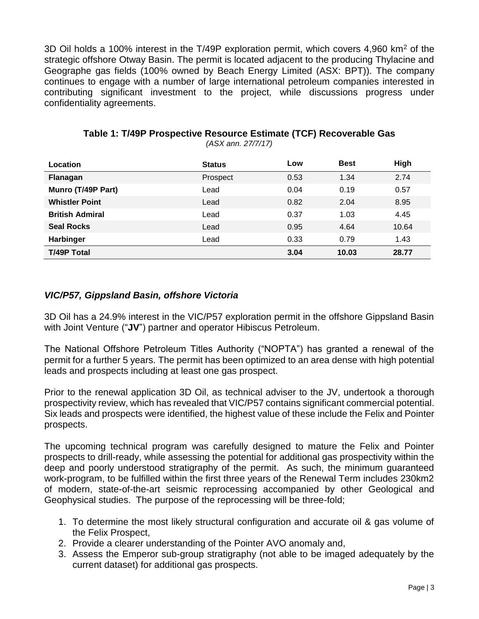3D Oil holds a 100% interest in the T/49P exploration permit, which covers 4,960 km<sup>2</sup> of the strategic offshore Otway Basin. The permit is located adjacent to the producing Thylacine and Geographe gas fields (100% owned by Beach Energy Limited (ASX: BPT)). The company continues to engage with a number of large international petroleum companies interested in contributing significant investment to the project, while discussions progress under confidentiality agreements.

| Location               | <b>Status</b> | Low  | <b>Best</b> | High  |
|------------------------|---------------|------|-------------|-------|
| Flanagan               | Prospect      | 0.53 | 1.34        | 2.74  |
| Munro (T/49P Part)     | Lead          | 0.04 | 0.19        | 0.57  |
| <b>Whistler Point</b>  | Lead          | 0.82 | 2.04        | 8.95  |
| <b>British Admiral</b> | Lead          | 0.37 | 1.03        | 4.45  |
| <b>Seal Rocks</b>      | Lead          | 0.95 | 4.64        | 10.64 |
| Harbinger              | Lead          | 0.33 | 0.79        | 1.43  |
| <b>T/49P Total</b>     |               | 3.04 | 10.03       | 28.77 |

#### **Table 1: T/49P Prospective Resource Estimate (TCF) Recoverable Gas** *(ASX ann. 27/7/17)*

## *VIC/P57, Gippsland Basin, offshore Victoria*

3D Oil has a 24.9% interest in the VIC/P57 exploration permit in the offshore Gippsland Basin with Joint Venture ("**JV**") partner and operator Hibiscus Petroleum.

The National Offshore Petroleum Titles Authority ("NOPTA") has granted a renewal of the permit for a further 5 years. The permit has been optimized to an area dense with high potential leads and prospects including at least one gas prospect.

Prior to the renewal application 3D Oil, as technical adviser to the JV, undertook a thorough prospectivity review, which has revealed that VIC/P57 contains significant commercial potential. Six leads and prospects were identified, the highest value of these include the Felix and Pointer prospects.

The upcoming technical program was carefully designed to mature the Felix and Pointer prospects to drill-ready, while assessing the potential for additional gas prospectivity within the deep and poorly understood stratigraphy of the permit. As such, the minimum guaranteed work-program, to be fulfilled within the first three years of the Renewal Term includes 230km2 of modern, state-of-the-art seismic reprocessing accompanied by other Geological and Geophysical studies. The purpose of the reprocessing will be three-fold;

- 1. To determine the most likely structural configuration and accurate oil & gas volume of the Felix Prospect,
- 2. Provide a clearer understanding of the Pointer AVO anomaly and,
- 3. Assess the Emperor sub-group stratigraphy (not able to be imaged adequately by the current dataset) for additional gas prospects.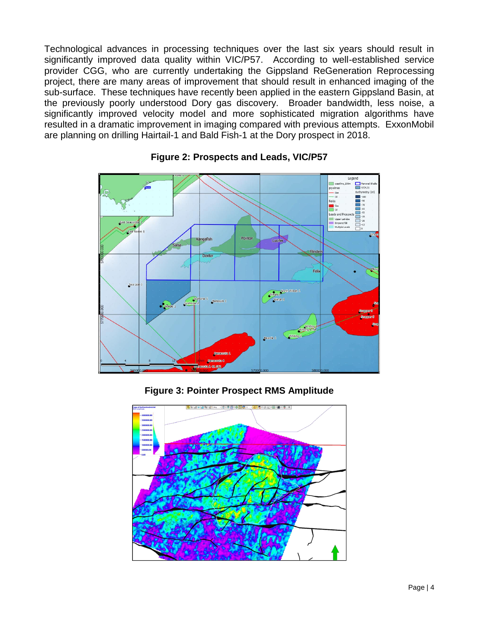Technological advances in processing techniques over the last six years should result in significantly improved data quality within VIC/P57. According to well-established service provider CGG, who are currently undertaking the Gippsland ReGeneration Reprocessing project, there are many areas of improvement that should result in enhanced imaging of the sub-surface. These techniques have recently been applied in the eastern Gippsland Basin, at the previously poorly understood Dory gas discovery. Broader bandwidth, less noise, a significantly improved velocity model and more sophisticated migration algorithms have resulted in a dramatic improvement in imaging compared with previous attempts. ExxonMobil are planning on drilling Hairtail-1 and Bald Fish-1 at the Dory prospect in 2018.



## **Figure 2: Prospects and Leads, VIC/P57**

**Figure 3: Pointer Prospect RMS Amplitude**

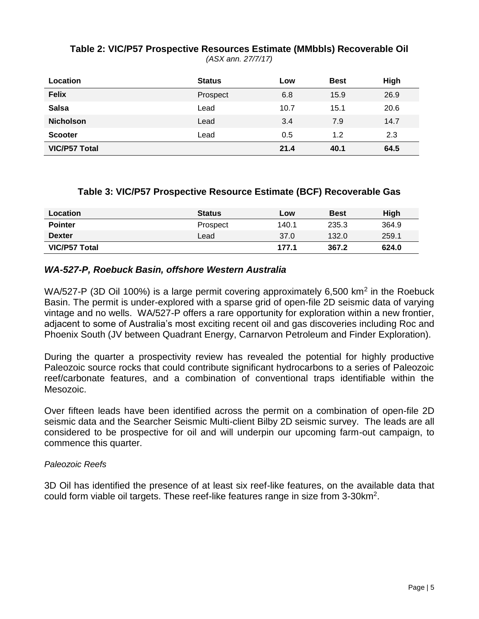## **Table 2: VIC/P57 Prospective Resources Estimate (MMbbls) Recoverable Oil**

*(ASX ann. 27/7/17)*

| Location             | <b>Status</b> | Low  | <b>Best</b> | High |
|----------------------|---------------|------|-------------|------|
| <b>Felix</b>         | Prospect      | 6.8  | 15.9        | 26.9 |
| <b>Salsa</b>         | Lead          | 10.7 | 15.1        | 20.6 |
| <b>Nicholson</b>     | Lead          | 3.4  | 7.9         | 14.7 |
| <b>Scooter</b>       | Lead          | 0.5  | 1.2         | 2.3  |
| <b>VIC/P57 Total</b> |               | 21.4 | 40.1        | 64.5 |

## **Table 3: VIC/P57 Prospective Resource Estimate (BCF) Recoverable Gas**

| Location       | <b>Status</b> | Low   | <b>Best</b> | <b>High</b> |
|----------------|---------------|-------|-------------|-------------|
| <b>Pointer</b> | Prospect      | 140.1 | 235.3       | 364.9       |
| <b>Dexter</b>  | Lead          | 37.0  | 132.0       | 259.1       |
| VIC/P57 Total  |               | 177.1 | 367.2       | 624.0       |

## *WA-527-P, Roebuck Basin, offshore Western Australia*

WA/527-P (3D Oil 100%) is a large permit covering approximately 6,500 km<sup>2</sup> in the Roebuck Basin. The permit is under-explored with a sparse grid of open-file 2D seismic data of varying vintage and no wells. WA/527-P offers a rare opportunity for exploration within a new frontier, adjacent to some of Australia's most exciting recent oil and gas discoveries including Roc and Phoenix South (JV between Quadrant Energy, Carnarvon Petroleum and Finder Exploration).

During the quarter a prospectivity review has revealed the potential for highly productive Paleozoic source rocks that could contribute significant hydrocarbons to a series of Paleozoic reef/carbonate features, and a combination of conventional traps identifiable within the Mesozoic.

Over fifteen leads have been identified across the permit on a combination of open-file 2D seismic data and the Searcher Seismic Multi-client Bilby 2D seismic survey. The leads are all considered to be prospective for oil and will underpin our upcoming farm-out campaign, to commence this quarter.

#### *Paleozoic Reefs*

3D Oil has identified the presence of at least six reef-like features, on the available data that could form viable oil targets. These reef-like features range in size from 3-30km<sup>2</sup>.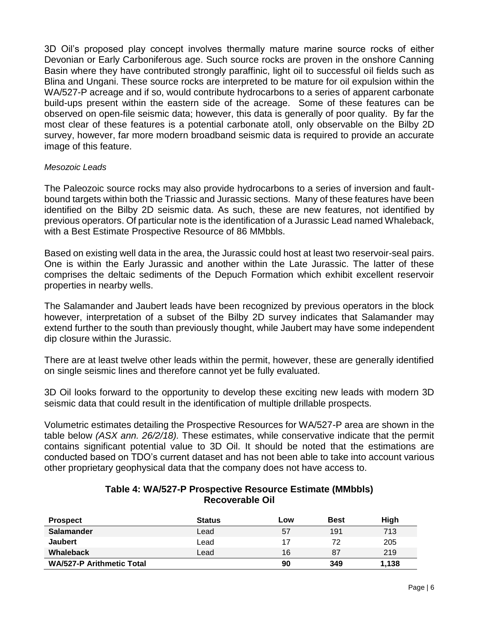3D Oil's proposed play concept involves thermally mature marine source rocks of either Devonian or Early Carboniferous age. Such source rocks are proven in the onshore Canning Basin where they have contributed strongly paraffinic, light oil to successful oil fields such as Blina and Ungani. These source rocks are interpreted to be mature for oil expulsion within the WA/527-P acreage and if so, would contribute hydrocarbons to a series of apparent carbonate build-ups present within the eastern side of the acreage. Some of these features can be observed on open-file seismic data; however, this data is generally of poor quality. By far the most clear of these features is a potential carbonate atoll, only observable on the Bilby 2D survey, however, far more modern broadband seismic data is required to provide an accurate image of this feature.

#### *Mesozoic Leads*

The Paleozoic source rocks may also provide hydrocarbons to a series of inversion and faultbound targets within both the Triassic and Jurassic sections. Many of these features have been identified on the Bilby 2D seismic data. As such, these are new features, not identified by previous operators. Of particular note is the identification of a Jurassic Lead named Whaleback, with a Best Estimate Prospective Resource of 86 MMbbls.

Based on existing well data in the area, the Jurassic could host at least two reservoir-seal pairs. One is within the Early Jurassic and another within the Late Jurassic. The latter of these comprises the deltaic sediments of the Depuch Formation which exhibit excellent reservoir properties in nearby wells.

The Salamander and Jaubert leads have been recognized by previous operators in the block however, interpretation of a subset of the Bilby 2D survey indicates that Salamander may extend further to the south than previously thought, while Jaubert may have some independent dip closure within the Jurassic.

There are at least twelve other leads within the permit, however, these are generally identified on single seismic lines and therefore cannot yet be fully evaluated.

3D Oil looks forward to the opportunity to develop these exciting new leads with modern 3D seismic data that could result in the identification of multiple drillable prospects.

Volumetric estimates detailing the Prospective Resources for WA/527-P area are shown in the table below *(ASX ann. 26/2/18).* These estimates, while conservative indicate that the permit contains significant potential value to 3D Oil. It should be noted that the estimations are conducted based on TDO's current dataset and has not been able to take into account various other proprietary geophysical data that the company does not have access to.

| <b>Prospect</b>                  | <b>Status</b> | Low | <b>Best</b> | <b>High</b> |
|----------------------------------|---------------|-----|-------------|-------------|
| <b>Salamander</b>                | Lead          | 57  | 191         | 713         |
| <b>Jaubert</b>                   | Lead          | 17  | 72          | 205         |
| <b>Whaleback</b>                 | Lead          | 16  | 87          | 219         |
| <b>WA/527-P Arithmetic Total</b> |               | 90  | 349         | 1,138       |

### **Table 4: WA/527-P Prospective Resource Estimate (MMbbls) Recoverable Oil**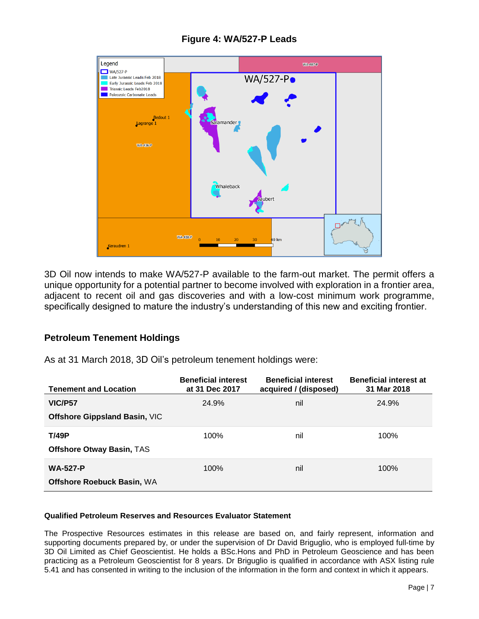

## **Figure 4: WA/527-P Leads**

3D Oil now intends to make WA/527-P available to the farm-out market. The permit offers a unique opportunity for a potential partner to become involved with exploration in a frontier area, adjacent to recent oil and gas discoveries and with a low-cost minimum work programme, specifically designed to mature the industry's understanding of this new and exciting frontier.

## **Petroleum Tenement Holdings**

As at 31 March 2018, 3D Oil's petroleum tenement holdings were:

| <b>Tenement and Location</b>         | <b>Beneficial interest</b><br>at 31 Dec 2017 | <b>Beneficial interest</b><br>acquired / (disposed) | <b>Beneficial interest at</b><br>31 Mar 2018 |
|--------------------------------------|----------------------------------------------|-----------------------------------------------------|----------------------------------------------|
| <b>VIC/P57</b>                       | 24.9%                                        | nil                                                 | 24.9%                                        |
| <b>Offshore Gippsland Basin, VIC</b> |                                              |                                                     |                                              |
| <b>T/49P</b>                         | 100%                                         | nil                                                 | 100%                                         |
| Offshore Otway Basin, TAS            |                                              |                                                     |                                              |
| <b>WA-527-P</b>                      | 100%                                         | nil                                                 | 100%                                         |
| Offshore Roebuck Basin, WA           |                                              |                                                     |                                              |

#### **Qualified Petroleum Reserves and Resources Evaluator Statement**

The Prospective Resources estimates in this release are based on, and fairly represent, information and supporting documents prepared by, or under the supervision of Dr David Briguglio, who is employed full-time by 3D Oil Limited as Chief Geoscientist. He holds a BSc.Hons and PhD in Petroleum Geoscience and has been practicing as a Petroleum Geoscientist for 8 years. Dr Briguglio is qualified in accordance with ASX listing rule 5.41 and has consented in writing to the inclusion of the information in the form and context in which it appears.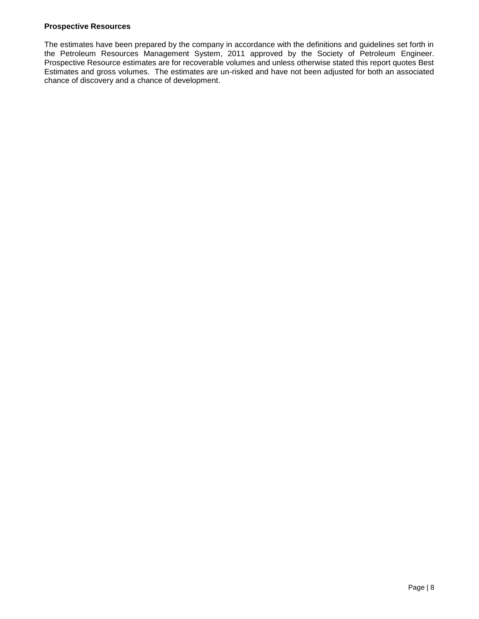#### **Prospective Resources**

The estimates have been prepared by the company in accordance with the definitions and guidelines set forth in the Petroleum Resources Management System, 2011 approved by the Society of Petroleum Engineer. Prospective Resource estimates are for recoverable volumes and unless otherwise stated this report quotes Best Estimates and gross volumes. The estimates are un-risked and have not been adjusted for both an associated chance of discovery and a chance of development.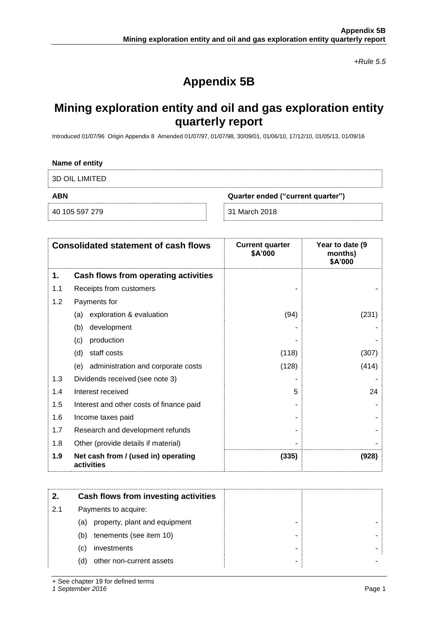*+Rule 5.5*

## **Appendix 5B**

## **Mining exploration entity and oil and gas exploration entity quarterly report**

Introduced 01/07/96 Origin Appendix 8 Amended 01/07/97, 01/07/98, 30/09/01, 01/06/10, 17/12/10, 01/05/13, 01/09/16

| Name of entity        |                                   |
|-----------------------|-----------------------------------|
| <b>3D OIL LIMITED</b> |                                   |
| <b>ABN</b>            | Quarter ended ("current quarter") |
|                       |                                   |

|     | <b>Consolidated statement of cash flows</b>       | <b>Current quarter</b><br>\$A'000 | Year to date (9<br>months)<br>\$A'000 |
|-----|---------------------------------------------------|-----------------------------------|---------------------------------------|
| 1.  | Cash flows from operating activities              |                                   |                                       |
| 1.1 | Receipts from customers                           |                                   |                                       |
| 1.2 | Payments for                                      |                                   |                                       |
|     | exploration & evaluation<br>(a)                   | (94)                              | (231)                                 |
|     | development<br>(b)                                |                                   |                                       |
|     | production<br>(c)                                 |                                   |                                       |
|     | staff costs<br>(d)                                | (118)                             | (307)                                 |
|     | administration and corporate costs<br>(e)         | (128)                             | (414)                                 |
| 1.3 | Dividends received (see note 3)                   |                                   |                                       |
| 1.4 | Interest received                                 | 5                                 | 24                                    |
| 1.5 | Interest and other costs of finance paid          |                                   |                                       |
| 1.6 | Income taxes paid                                 |                                   |                                       |
| 1.7 | Research and development refunds                  |                                   |                                       |
| 1.8 | Other (provide details if material)               |                                   |                                       |
| 1.9 | Net cash from / (used in) operating<br>activities | (335)                             | (928)                                 |

|     | Cash flows from investing activities |
|-----|--------------------------------------|
| 2.1 | Payments to acquire:                 |
|     | property, plant and equipment<br>(a) |
|     | tenements (see item 10)<br>(b)<br>-  |
|     | investments<br>(C)                   |
|     | other non-current assets<br>(d)      |

+ See chapter 19 for defined terms

*1 September 2016* Page 1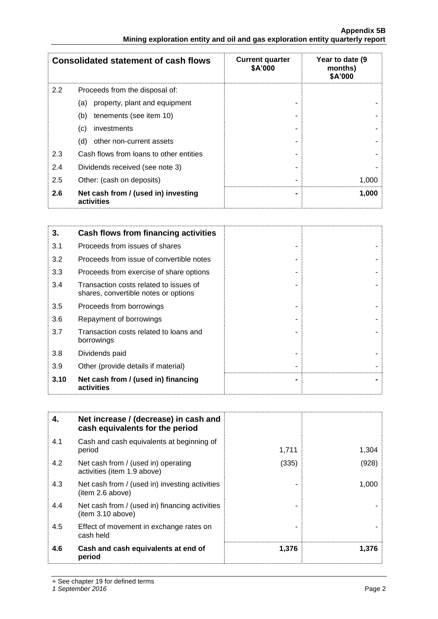|     | <b>Consolidated statement of cash flows</b>       | <b>Current quarter</b><br>\$A'000 | Year to date (9<br>months)<br>\$A'000 |
|-----|---------------------------------------------------|-----------------------------------|---------------------------------------|
| 2.2 | Proceeds from the disposal of:                    |                                   |                                       |
|     | property, plant and equipment<br>(a)              |                                   |                                       |
|     | tenements (see item 10)<br>(b)                    |                                   |                                       |
|     | investments<br>(c)                                |                                   |                                       |
|     | other non-current assets<br>(d)                   |                                   |                                       |
| 2.3 | Cash flows from loans to other entities           |                                   |                                       |
| 2.4 | Dividends received (see note 3)                   |                                   |                                       |
| 2.5 | Other: (cash on deposits)                         |                                   | 1,000                                 |
| 2.6 | Net cash from / (used in) investing<br>activities |                                   | 1,000                                 |

| 3.   | Cash flows from financing activities                                           |  |
|------|--------------------------------------------------------------------------------|--|
| 3.1  | Proceeds from issues of shares                                                 |  |
| 3.2  | Proceeds from issue of convertible notes                                       |  |
| 3.3  | Proceeds from exercise of share options                                        |  |
| 3.4  | Transaction costs related to issues of<br>shares, convertible notes or options |  |
| 3.5  | Proceeds from borrowings                                                       |  |
| 3.6  | Repayment of borrowings                                                        |  |
| 3.7  | Transaction costs related to loans and<br>borrowings                           |  |
| 3.8  | Dividends paid                                                                 |  |
| 3.9  | Other (provide details if material)                                            |  |
| 3.10 | Net cash from / (used in) financing<br>activities                              |  |

| 4.  | Net increase / (decrease) in cash and<br>cash equivalents for the period |       |       |
|-----|--------------------------------------------------------------------------|-------|-------|
| 4.1 | Cash and cash equivalents at beginning of<br>period                      | 1,711 | 1,304 |
| 4.2 | Net cash from / (used in) operating<br>activities (item 1.9 above)       | (335) | (928) |
| 4.3 | Net cash from / (used in) investing activities<br>(item 2.6 above)       |       | 1,000 |
| 4.4 | Net cash from / (used in) financing activities<br>(item 3.10 above)      |       |       |
| 4.5 | Effect of movement in exchange rates on<br>cash held                     |       |       |
| 4.6 | Cash and cash equivalents at end of<br>period                            | 1,376 | 1,376 |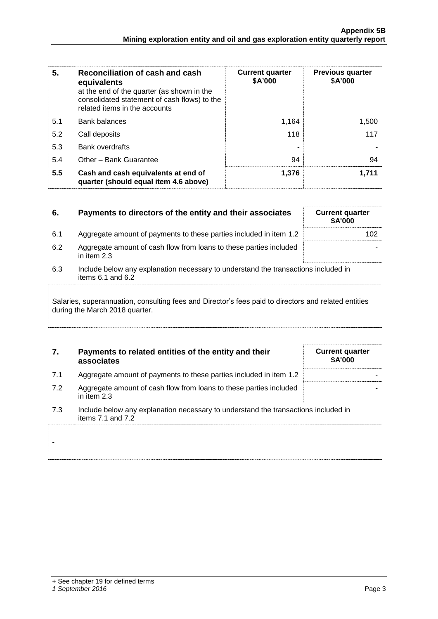| 5.  | Reconciliation of cash and cash<br>equivalents<br>at the end of the quarter (as shown in the<br>consolidated statement of cash flows) to the<br>related items in the accounts | <b>Current quarter</b><br>\$A'000 | <b>Previous quarter</b><br>\$A'000 |
|-----|-------------------------------------------------------------------------------------------------------------------------------------------------------------------------------|-----------------------------------|------------------------------------|
| 5.1 | <b>Bank balances</b>                                                                                                                                                          | 1,164                             | 1,500                              |
| 5.2 | Call deposits                                                                                                                                                                 | 118                               | 117                                |
| 5.3 | <b>Bank overdrafts</b>                                                                                                                                                        |                                   |                                    |
| 5.4 | Other - Bank Guarantee                                                                                                                                                        | 94                                | 94                                 |
| 5.5 | Cash and cash equivalents at end of<br>quarter (should equal item 4.6 above)                                                                                                  | 1,376                             | 1,711                              |

| 6.  | Payments to directors of the entity and their associates                                                    | <b>Current quarter</b><br>\$A'000 |  |
|-----|-------------------------------------------------------------------------------------------------------------|-----------------------------------|--|
| 6.1 | Aggregate amount of payments to these parties included in item 1.2                                          | 102                               |  |
| 6.2 | Aggregate amount of cash flow from loans to these parties included<br>in item 2.3                           |                                   |  |
| 6.3 | Include below any explanation necessary to understand the transactions included in<br>items $6.1$ and $6.2$ |                                   |  |
|     |                                                                                                             |                                   |  |

Salaries, superannuation, consulting fees and Director's fees paid to directors and related entities during the March 2018 quarter.

### **7. Payments to related entities of the entity and their associates**

| <b>Current quarter</b><br>\$A'000 |  |
|-----------------------------------|--|
|                                   |  |
|                                   |  |

- 7.1 Aggregate amount of payments to these parties included in item 1.2
- 7.2 Aggregate amount of cash flow from loans to these parties included in item 2.3
- 7.3 Include below any explanation necessary to understand the transactions included in items 7.1 and 7.2

-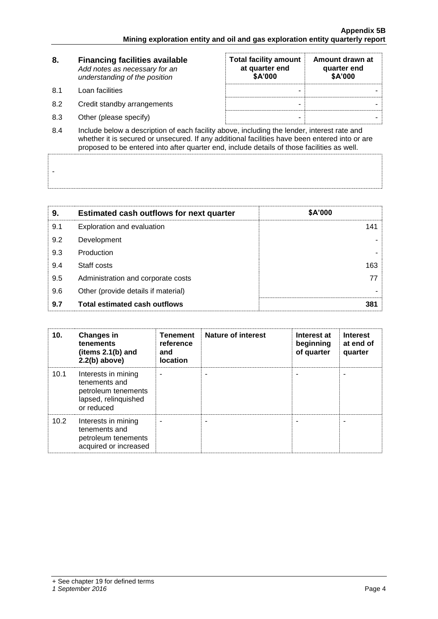| 8.                 | <b>Financing facilities available</b><br>Add notes as necessary for an<br>understanding of the position | <b>Total facility amount</b><br>at quarter end<br>\$A'000 | Amount drawn at<br>quarter end<br>\$A'000 |  |
|--------------------|---------------------------------------------------------------------------------------------------------|-----------------------------------------------------------|-------------------------------------------|--|
| 8.1                | Loan facilities                                                                                         | -                                                         |                                           |  |
| 8.2                | Credit standby arrangements                                                                             | -                                                         |                                           |  |
| 8.3                | Other (please specify)                                                                                  |                                                           |                                           |  |
| $\Omega$ $\Lambda$ | loclude below a description of each facility above including the lender, interest rate and              |                                                           |                                           |  |

8.4 Include below a description of each facility above, including the lender, interest rate and whether it is secured or unsecured. If any additional facilities have been entered into or are proposed to be entered into after quarter end, include details of those facilities as well.

| 9.  | <b>Estimated cash outflows for next quarter</b> | \$A'000 |
|-----|-------------------------------------------------|---------|
| 9.1 | Exploration and evaluation                      | 141     |
| 9.2 | Development                                     |         |
| 9.3 | Production                                      |         |
| 9.4 | Staff costs                                     | 163     |
| 9.5 | Administration and corporate costs              | 77.     |
| 9.6 | Other (provide details if material)             |         |
| 9.7 | <b>Total estimated cash outflows</b>            | 381     |

| 10.  | <b>Changes in</b><br>tenements<br>(items $2.1(b)$ and<br>$2.2(b)$ above)                          | <b>Tenement</b><br>reference<br>and<br><b>location</b> | <b>Nature of interest</b> | Interest at<br>beginning<br>of quarter | <b>Interest</b><br>at end of<br>quarter |
|------|---------------------------------------------------------------------------------------------------|--------------------------------------------------------|---------------------------|----------------------------------------|-----------------------------------------|
| 10.1 | Interests in mining<br>tenements and<br>petroleum tenements<br>lapsed, relinquished<br>or reduced |                                                        |                           |                                        |                                         |
| 10.2 | Interests in mining<br>tenements and<br>petroleum tenements<br>acquired or increased              |                                                        |                           |                                        |                                         |

-